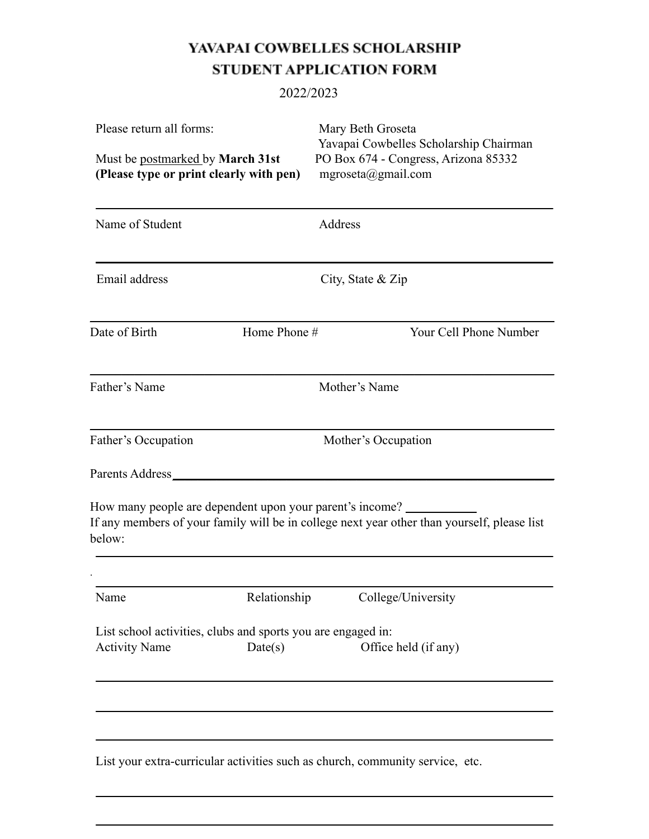# YAVAPAI COWBELLES SCHOLARSHIP STUDENT APPLICATION FORM

### 2022/2023

| Please return all forms:<br>Must be postmarked by March 31st<br>(Please type or print clearly with pen) | Mary Beth Groseta<br>Yavapai Cowbelles Scholarship Chairman<br>PO Box 674 - Congress, Arizona 85332<br>mgroseta@gmail.com |  |
|---------------------------------------------------------------------------------------------------------|---------------------------------------------------------------------------------------------------------------------------|--|
| Name of Student                                                                                         | Address                                                                                                                   |  |
| Email address                                                                                           | City, State & Zip                                                                                                         |  |
| Date of Birth<br>Home Phone #                                                                           | Your Cell Phone Number                                                                                                    |  |
| Father's Name                                                                                           | Mother's Name                                                                                                             |  |
| Father's Occupation                                                                                     | Mother's Occupation                                                                                                       |  |
| Parents Address_                                                                                        |                                                                                                                           |  |
| How many people are dependent upon your parent's income?<br>below:                                      | If any members of your family will be in college next year other than yourself, please list                               |  |
|                                                                                                         |                                                                                                                           |  |
| Name<br>Relationship                                                                                    | College/University                                                                                                        |  |
| List school activities, clubs and sports you are engaged in:<br>Date(s)<br><b>Activity Name</b>         | Office held (if any)                                                                                                      |  |
|                                                                                                         |                                                                                                                           |  |
|                                                                                                         |                                                                                                                           |  |
| List your extra-curricular activities such as church, community service, etc.                           |                                                                                                                           |  |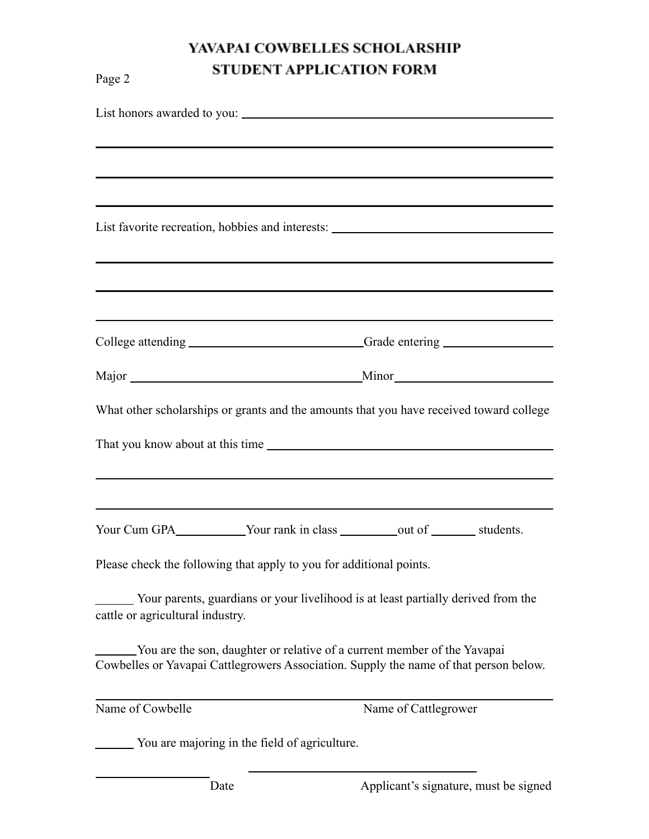## YAVAPAI COWBELLES SCHOLARSHIP STUDENT APPLICATION FORM

| Page 2                           | STUDENT AFFEICATION FORM                                                 |                                                                                         |
|----------------------------------|--------------------------------------------------------------------------|-----------------------------------------------------------------------------------------|
|                                  |                                                                          |                                                                                         |
|                                  |                                                                          |                                                                                         |
|                                  |                                                                          | ,我们也不会有什么。""我们的人,我们也不会有什么?""我们的人,我们也不会有什么?""我们的人,我们也不会有什么?""我们的人,我们也不会有什么?""我们的人        |
|                                  |                                                                          | ,我们也不会有什么。""我们的人,我们也不会有什么?""我们的人,我们也不会有什么?""我们的人,我们也不会有什么?""我们的人,我们也不会有什么?""我们的人        |
|                                  |                                                                          | List favorite recreation, hobbies and interests: ________________________________       |
|                                  |                                                                          |                                                                                         |
|                                  |                                                                          |                                                                                         |
|                                  |                                                                          | ,我们也不会有什么。""我们的人,我们也不会有什么?""我们的人,我们也不会有什么?""我们的人,我们也不会有什么?""我们的人,我们也不会有什么?""我们的人        |
|                                  |                                                                          | College attending ___________________________Grade entering ____________________        |
|                                  |                                                                          |                                                                                         |
|                                  |                                                                          | What other scholarships or grants and the amounts that you have received toward college |
|                                  |                                                                          |                                                                                         |
|                                  |                                                                          |                                                                                         |
|                                  |                                                                          |                                                                                         |
|                                  |                                                                          | Your Cum GPA___________Your rank in class __________out of _________ students.          |
|                                  | Please check the following that apply to you for additional points.      |                                                                                         |
| cattle or agricultural industry. |                                                                          | Your parents, guardians or your livelihood is at least partially derived from the       |
|                                  | You are the son, daughter or relative of a current member of the Yavapai | Cowbelles or Yavapai Cattlegrowers Association. Supply the name of that person below.   |
| Name of Cowbelle                 |                                                                          | Name of Cattlegrower                                                                    |
|                                  | You are majoring in the field of agriculture.                            |                                                                                         |

Date Applicant's signature, must be signed